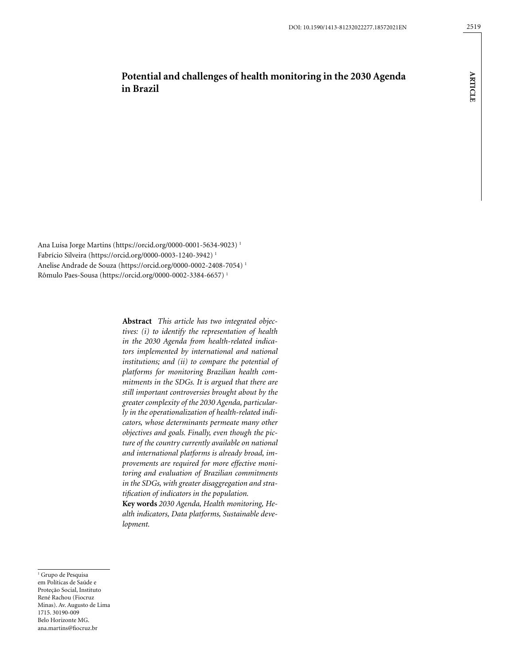**ARTICLE**

**ARTICLE** 

# **Potential and challenges of health monitoring in the 2030 Agenda in Brazil**

Ana Luisa Jorge Martins (https://orcid.org/0000-0001-5634-9023) 1 Fabrício Silveira (https://orcid.org/0000-0003-1240-3942) 1 Anelise Andrade de Souza (https://orcid.org/0000-0002-2408-7054) 1 Rômulo Paes-Sousa (https://orcid.org/0000-0002-3384-6657) 1

> **Abstract** *This article has two integrated objectives: (i) to identify the representation of health in the 2030 Agenda from health-related indicators implemented by international and national institutions; and (ii) to compare the potential of platforms for monitoring Brazilian health commitments in the SDGs. It is argued that there are still important controversies brought about by the greater complexity of the 2030 Agenda, particularly in the operationalization of health-related indicators, whose determinants permeate many other objectives and goals. Finally, even though the picture of the country currently available on national and international platforms is already broad, improvements are required for more effective monitoring and evaluation of Brazilian commitments in the SDGs, with greater disaggregation and stratification of indicators in the population.*

> **Key words** *2030 Agenda, Health monitoring, Health indicators, Data platforms, Sustainable development.*

<sup>1</sup> Grupo de Pesquisa em Políticas de Saúde e Proteção Social, Instituto René Rachou (Fiocruz Minas). Av. Augusto de Lima 1715. 30190-009 Belo Horizonte MG. [ana.martins@fiocruz.br](mailto:ana.martins@fiocruz.br)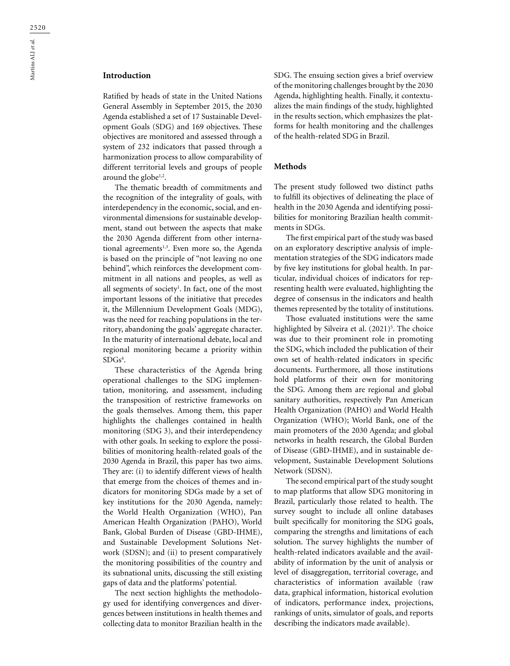# **Introduction**

Ratified by heads of state in the United Nations General Assembly in September 2015, the 2030 Agenda established a set of 17 Sustainable Development Goals (SDG) and 169 objectives. These objectives are monitored and assessed through a system of 232 indicators that passed through a harmonization process to allow comparability of different territorial levels and groups of people around the globe $1,2$ .

The thematic breadth of commitments and the recognition of the integrality of goals, with interdependency in the economic, social, and environmental dimensions for sustainable development, stand out between the aspects that make the 2030 Agenda different from other international agreements<sup>1,3</sup>. Even more so, the Agenda is based on the principle of "not leaving no one behind", which reinforces the development commitment in all nations and peoples, as well as all segments of society<sup>1</sup>. In fact, one of the most important lessons of the initiative that precedes it, the Millennium Development Goals (MDG), was the need for reaching populations in the territory, abandoning the goals' aggregate character. In the maturity of international debate, local and regional monitoring became a priority within  $SDGs<sup>4</sup>$ .

These characteristics of the Agenda bring operational challenges to the SDG implementation, monitoring, and assessment, including the transposition of restrictive frameworks on the goals themselves. Among them, this paper highlights the challenges contained in health monitoring (SDG 3), and their interdependency with other goals. In seeking to explore the possibilities of monitoring health-related goals of the 2030 Agenda in Brazil, this paper has two aims. They are: (i) to identify different views of health that emerge from the choices of themes and indicators for monitoring SDGs made by a set of key institutions for the 2030 Agenda, namely: the World Health Organization (WHO), Pan American Health Organization (PAHO), World Bank, Global Burden of Disease (GBD-IHME), and Sustainable Development Solutions Network (SDSN); and (ii) to present comparatively the monitoring possibilities of the country and its subnational units, discussing the still existing gaps of data and the platforms' potential.

The next section highlights the methodology used for identifying convergences and divergences between institutions in health themes and collecting data to monitor Brazilian health in the SDG. The ensuing section gives a brief overview of the monitoring challenges brought by the 2030 Agenda, highlighting health. Finally, it contextualizes the main findings of the study, highlighted in the results section, which emphasizes the platforms for health monitoring and the challenges of the health-related SDG in Brazil.

#### **Methods**

The present study followed two distinct paths to fulfill its objectives of delineating the place of health in the 2030 Agenda and identifying possibilities for monitoring Brazilian health commitments in SDGs.

The first empirical part of the study was based on an exploratory descriptive analysis of implementation strategies of the SDG indicators made by five key institutions for global health. In particular, individual choices of indicators for representing health were evaluated, highlighting the degree of consensus in the indicators and health themes represented by the totality of institutions.

Those evaluated institutions were the same highlighted by Silveira et al. (2021)<sup>5</sup>. The choice was due to their prominent role in promoting the SDG, which included the publication of their own set of health-related indicators in specific documents. Furthermore, all those institutions hold platforms of their own for monitoring the SDG. Among them are regional and global sanitary authorities, respectively Pan American Health Organization (PAHO) and World Health Organization (WHO); World Bank, one of the main promoters of the 2030 Agenda; and global networks in health research, the Global Burden of Disease (GBD-IHME), and in sustainable development, Sustainable Development Solutions Network (SDSN).

The second empirical part of the study sought to map platforms that allow SDG monitoring in Brazil, particularly those related to health. The survey sought to include all online databases built specifically for monitoring the SDG goals, comparing the strengths and limitations of each solution. The survey highlights the number of health-related indicators available and the availability of information by the unit of analysis or level of disaggregation, territorial coverage, and characteristics of information available (raw data, graphical information, historical evolution of indicators, performance index, projections, rankings of units, simulator of goals, and reports describing the indicators made available).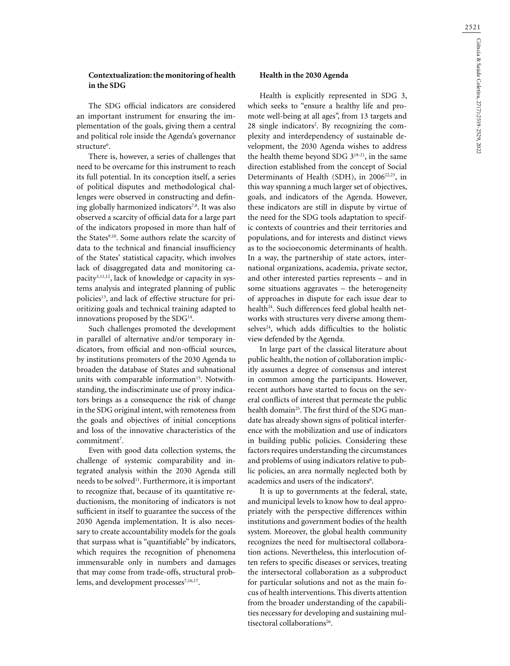## **Contextualization: the monitoring of health in the SDG**

The SDG official indicators are considered an important instrument for ensuring the implementation of the goals, giving them a central and political role inside the Agenda's governance structure<sup>6</sup>.

There is, however, a series of challenges that need to be overcame for this instrument to reach its full potential. In its conception itself, a series of political disputes and methodological challenges were observed in constructing and defining globally harmonized indicators<sup>7,8</sup>. It was also observed a scarcity of official data for a large part of the indicators proposed in more than half of the States<sup>9,10</sup>. Some authors relate the scarcity of data to the technical and financial insufficiency of the States' statistical capacity, which involves lack of disaggregated data and monitoring capacity<sup>3,11,12</sup>, lack of knowledge or capacity in systems analysis and integrated planning of public policies<sup>13</sup>, and lack of effective structure for prioritizing goals and technical training adapted to innovations proposed by the SDG<sup>14</sup>.

Such challenges promoted the development in parallel of alternative and/or temporary indicators, from official and non-official sources, by institutions promoters of the 2030 Agenda to broaden the database of States and subnational units with comparable information<sup>15</sup>. Notwithstanding, the indiscriminate use of proxy indicators brings as a consequence the risk of change in the SDG original intent, with remoteness from the goals and objectives of initial conceptions and loss of the innovative characteristics of the commitment<sup>7</sup>.

Even with good data collection systems, the challenge of systemic comparability and integrated analysis within the 2030 Agenda still needs to be solved<sup>11</sup>. Furthermore, it is important to recognize that, because of its quantitative reductionism, the monitoring of indicators is not sufficient in itself to guarantee the success of the 2030 Agenda implementation. It is also necessary to create accountability models for the goals that surpass what is "quantifiable" by indicators, which requires the recognition of phenomena immensurable only in numbers and damages that may come from trade-offs, structural problems, and development processes<sup>7,16,17</sup>.

## **Health in the 2030 Agenda**

Health is explicitly represented in SDG 3, which seeks to "ensure a healthy life and promote well-being at all ages", from 13 targets and 28 single indicators<sup>2</sup>. By recognizing the complexity and interdependency of sustainable development, the 2030 Agenda wishes to address the health theme beyond SDG 318-21, in the same direction established from the concept of Social Determinants of Health (SDH), in 2006<sup>22,23</sup>, in this way spanning a much larger set of objectives, goals, and indicators of the Agenda. However, these indicators are still in dispute by virtue of the need for the SDG tools adaptation to specific contexts of countries and their territories and populations, and for interests and distinct views as to the socioeconomic determinants of health. In a way, the partnership of state actors, international organizations, academia, private sector, and other interested parties represents – and in some situations aggravates – the heterogeneity of approaches in dispute for each issue dear to health<sup>24</sup>. Such differences feed global health networks with structures very diverse among themselves<sup>24</sup>, which adds difficulties to the holistic view defended by the Agenda.

In large part of the classical literature about public health, the notion of collaboration implicitly assumes a degree of consensus and interest in common among the participants. However, recent authors have started to focus on the several conflicts of interest that permeate the public health domain<sup>25</sup>. The first third of the SDG mandate has already shown signs of political interference with the mobilization and use of indicators in building public policies. Considering these factors requires understanding the circumstances and problems of using indicators relative to public policies, an area normally neglected both by academics and users of the indicators<sup>6</sup>.

It is up to governments at the federal, state, and municipal levels to know how to deal appropriately with the perspective differences within institutions and government bodies of the health system. Moreover, the global health community recognizes the need for multisectoral collaboration actions. Nevertheless, this interlocution often refers to specific diseases or services, treating the intersectoral collaboration as a subproduct for particular solutions and not as the main focus of health interventions. This diverts attention from the broader understanding of the capabilities necessary for developing and sustaining multisectoral collaborations<sup>26</sup>.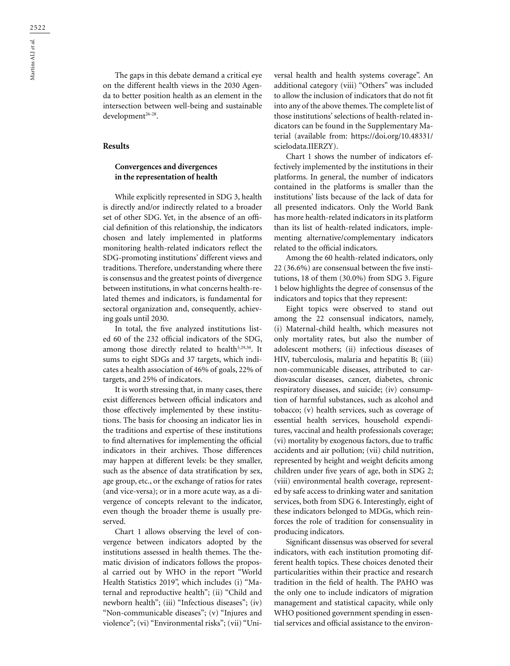The gaps in this debate demand a critical eye on the different health views in the 2030 Agenda to better position health as an element in the intersection between well-being and sustainable development<sup>26-28</sup>.

#### **Results**

## **Convergences and divergences in the representation of health**

While explicitly represented in SDG 3, health is directly and/or indirectly related to a broader set of other SDG. Yet, in the absence of an official definition of this relationship, the indicators chosen and lately implemented in platforms monitoring health-related indicators reflect the SDG-promoting institutions' different views and traditions. Therefore, understanding where there is consensus and the greatest points of divergence between institutions, in what concerns health-related themes and indicators, is fundamental for sectoral organization and, consequently, achieving goals until 2030.

In total, the five analyzed institutions listed 60 of the 232 official indicators of the SDG, among those directly related to health<sup>5,29,30</sup>. It sums to eight SDGs and 37 targets, which indicates a health association of 46% of goals, 22% of targets, and 25% of indicators.

It is worth stressing that, in many cases, there exist differences between official indicators and those effectively implemented by these institutions. The basis for choosing an indicator lies in the traditions and expertise of these institutions to find alternatives for implementing the official indicators in their archives. Those differences may happen at different levels: be they smaller, such as the absence of data stratification by sex, age group, etc., or the exchange of ratios for rates (and vice-versa); or in a more acute way, as a divergence of concepts relevant to the indicator, even though the broader theme is usually preserved.

Chart 1 allows observing the level of convergence between indicators adopted by the institutions assessed in health themes. The thematic division of indicators follows the proposal carried out by WHO in the report "World Health Statistics 2019", which includes (i) "Maternal and reproductive health"; (ii) "Child and newborn health"; (iii) "Infectious diseases"; (iv) "Non-communicable diseases"; (v) "Injures and violence"; (vi) "Environmental risks"; (vii) "Universal health and health systems coverage". An additional category (viii) "Others" was included to allow the inclusion of indicators that do not fit into any of the above themes. The complete list of those institutions' selections of health-related indicators can be found in the Supplementary Material (available from: https://doi.org/10.48331/ scielodata.IIERZY).

Chart 1 shows the number of indicators effectively implemented by the institutions in their platforms. In general, the number of indicators contained in the platforms is smaller than the institutions' lists because of the lack of data for all presented indicators. Only the World Bank has more health-related indicators in its platform than its list of health-related indicators, implementing alternative/complementary indicators related to the official indicators.

Among the 60 health-related indicators, only 22 (36.6%) are consensual between the five institutions, 18 of them (30.0%) from SDG 3. Figure 1 below highlights the degree of consensus of the indicators and topics that they represent:

Eight topics were observed to stand out among the 22 consensual indicators, namely, (i) Maternal-child health, which measures not only mortality rates, but also the number of adolescent mothers; (ii) infectious diseases of HIV, tuberculosis, malaria and hepatitis B; (iii) non-communicable diseases, attributed to cardiovascular diseases, cancer, diabetes, chronic respiratory diseases, and suicide; (iv) consumption of harmful substances, such as alcohol and tobacco; (v) health services, such as coverage of essential health services, household expenditures, vaccinal and health professionals coverage; (vi) mortality by exogenous factors, due to traffic accidents and air pollution; (vii) child nutrition, represented by height and weight deficits among children under five years of age, both in SDG 2; (viii) environmental health coverage, represented by safe access to drinking water and sanitation services, both from SDG 6. Interestingly, eight of these indicators belonged to MDGs, which reinforces the role of tradition for consensuality in producing indicators.

Significant dissensus was observed for several indicators, with each institution promoting different health topics. These choices denoted their particularities within their practice and research tradition in the field of health. The PAHO was the only one to include indicators of migration management and statistical capacity, while only WHO positioned government spending in essential services and official assistance to the environ-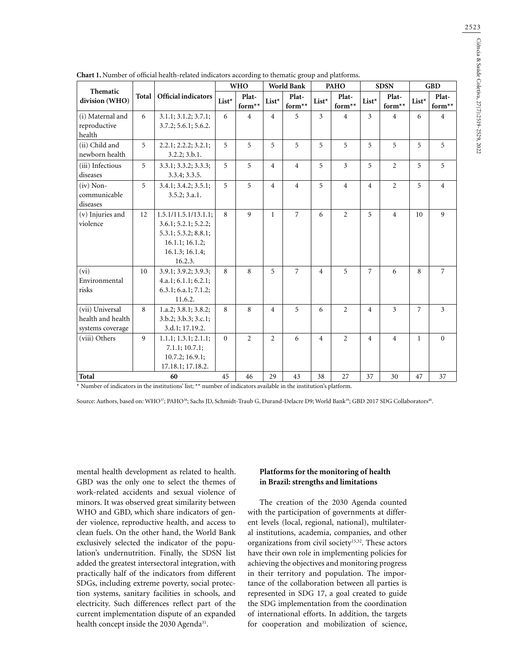|                                                          | Total | <b>Official indicators</b>                                                                                            | <b>WHO</b> |                     | <b>World Bank</b> |                     | PAHO           |                     | <b>SDSN</b>    |                     | <b>GBD</b>     |                 |
|----------------------------------------------------------|-------|-----------------------------------------------------------------------------------------------------------------------|------------|---------------------|-------------------|---------------------|----------------|---------------------|----------------|---------------------|----------------|-----------------|
| Thematic<br>division (WHO)                               |       |                                                                                                                       | List*      | Plat-<br>for<br>m** | $List^{\star}$    | Plat-<br>form<br>** | $List^{\star}$ | Plat-<br>form<br>** | List*          | Plat-<br>form<br>** | List*          | Plat-<br>form** |
| (i) Maternal and<br>reproductive<br>health               | 6     | 3.1.1; 3.1.2; 3.7.1;<br>3.7.2; 5.6.1; 5.6.2.                                                                          | 6          | $\overline{4}$      | $\overline{4}$    | 5                   | $\overline{3}$ | $\overline{4}$      | 3              | $\overline{4}$      | 6              | $\overline{4}$  |
| (ii) Child and<br>newborn health                         | 5     | 2.2.1; 2.2.2; 3.2.1;<br>3.2.2; 3.b.1.                                                                                 | 5          | 5                   | 5                 | 5                   | 5              | 5                   | 5              | 5                   | 5              | 5               |
| (iii) Infectious<br>diseases                             | 5     | 3.3.1; 3.3.2; 3.3.3;<br>3.3.4; 3.3.5.                                                                                 | 5          | 5                   | $\overline{4}$    | $\overline{4}$      | 5              | 3                   | 5              | 2                   | 5              | 5               |
| $(iv)$ Non-<br>communicable<br>diseases                  | 5     | 3.4.1; 3.4.2; 3.5.1;<br>3.5.2; 3.a.1.                                                                                 | 5          | 5                   | $\overline{4}$    | $\overline{4}$      | 5              | $\overline{4}$      | $\overline{4}$ | $\overline{2}$      | 5              | $\overline{4}$  |
| (v) Injuries and<br>violence                             | 12    | 1.5.1/11.5.1/13.1.1;<br>3.6.1; 5.2.1; 5.2.2;<br>5.3.1; 5.3.2; 8.8.1;<br>16.1.1; 16.1.2;<br>16.1.3; 16.1.4;<br>16.2.3. | 8          | $\mathbf{Q}$        | $\mathbf{1}$      | $\overline{7}$      | 6              | $\overline{2}$      | 5              | $\overline{4}$      | 10             | 9               |
| (vi)<br>Environmental<br>risks                           | 10    | 3.9.1; 3.9.2; 3.9.3;<br>4.a.1; 6.1.1; 6.2.1;<br>6.3.1; 6.a.1; 7.1.2;<br>11.6.2.                                       | 8          | 8                   | 5                 | $\overline{7}$      | $\overline{4}$ | 5                   | 7              | 6                   | 8              | $\overline{7}$  |
| (vii) Universal<br>health and health<br>systems coverage | 8     | 1.a.2; 3.8.1; 3.8.2;<br>3.b.2; 3.b.3; 3.c.1;<br>3.d.1; 17.19.2.                                                       | 8          | 8                   | $\overline{4}$    | 5                   | 6              | $\overline{2}$      | $\overline{4}$ | $\overline{3}$      | $\overline{7}$ | $\overline{3}$  |
| (viii) Others                                            | 9     | 1.1.1; 1.3.1; 2.1.1;<br>7.1.1; 10.7.1;<br>10.7.2; 16.9.1;<br>17.18.1; 17.18.2.                                        | $\theta$   | $\overline{2}$      | $\overline{2}$    | 6                   | $\overline{4}$ | $\overline{2}$      | $\overline{4}$ | $\overline{4}$      | $\mathbf{1}$   | $\mathbf{0}$    |
| Total                                                    |       | 60                                                                                                                    | 45         | 46                  | 29                | 43                  | 38             | 27                  | 37             | 30                  | 47             | 37              |

\* Number of indicators in the institutions' list; \*\* number of indicators available in the institution's platform.

Source: Authors, based on: WHO<sup>37</sup>; PAHO<sup>38</sup>; Sachs JD, Schmidt-Traub G, Durand-Delacre D9; World Bank<sup>39</sup>; GBD 2017 SDG Collaborators<sup>40</sup>.

mental health development as related to health. GBD was the only one to select the themes of work-related accidents and sexual violence of minors. It was observed great similarity between WHO and GBD, which share indicators of gender violence, reproductive health, and access to clean fuels. On the other hand, the World Bank exclusively selected the indicator of the population's undernutrition. Finally, the SDSN list added the greatest intersectoral integration, with practically half of the indicators from different SDGs, including extreme poverty, social protection systems, sanitary facilities in schools, and electricity. Such differences reflect part of the current implementation dispute of an expanded health concept inside the 2030 Agenda<sup>31</sup>.

### **Platforms for the monitoring of health in Brazil: strengths and limitations**

The creation of the 2030 Agenda counted with the participation of governments at different levels (local, regional, national), multilateral institutions, academia, companies, and other organizations from civil society<sup>15,32</sup>. These actors have their own role in implementing policies for achieving the objectives and monitoring progress in their territory and population. The importance of the collaboration between all parties is represented in SDG 17, a goal created to guide the SDG implementation from the coordination of international efforts. In addition, the targets for cooperation and mobilization of science,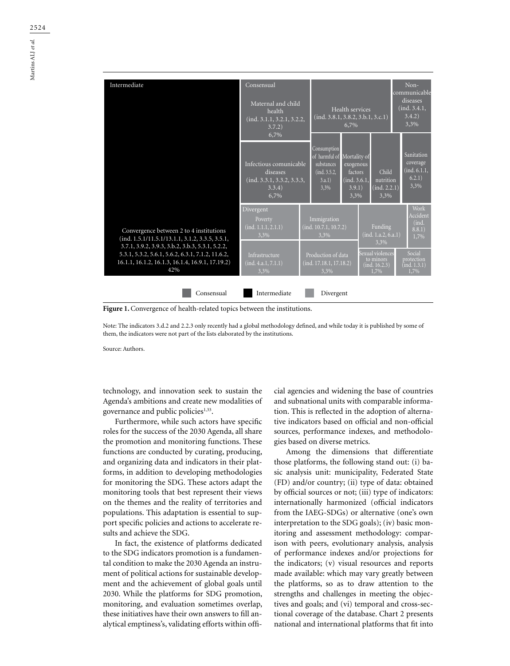

Figure 1. Convergence of health-related topics between the institutions.

Note: The indicators 3.d.2 and 2.2.3 only recently had a global methodology defined, and while today it is published by some of them, the indicators were not part of the lists elaborated by the institutions.

Source: Authors.

technology, and innovation seek to sustain the Agenda's ambitions and create new modalities of governance and public policies<sup>1,33</sup>.

Furthermore, while such actors have specific roles for the success of the 2030 Agenda, all share the promotion and monitoring functions. These functions are conducted by curating, producing, and organizing data and indicators in their platforms, in addition to developing methodologies for monitoring the SDG. These actors adapt the monitoring tools that best represent their views on the themes and the reality of territories and populations. This adaptation is essential to support specific policies and actions to accelerate results and achieve the SDG.

In fact, the existence of platforms dedicated to the SDG indicators promotion is a fundamental condition to make the 2030 Agenda an instrument of political actions for sustainable development and the achievement of global goals until 2030. While the platforms for SDG promotion, monitoring, and evaluation sometimes overlap, these initiatives have their own answers to fill analytical emptiness's, validating efforts within official agencies and widening the base of countries and subnational units with comparable information. This is reflected in the adoption of alternative indicators based on official and non-official sources, performance indexes, and methodologies based on diverse metrics.

Among the dimensions that differentiate those platforms, the following stand out: (i) basic analysis unit: municipality, Federated State (FD) and/or country; (ii) type of data: obtained by official sources or not; (iii) type of indicators: internationally harmonized (official indicators from the IAEG-SDGs) or alternative (one's own interpretation to the SDG goals); (iv) basic monitoring and assessment methodology: comparison with peers, evolutionary analysis, analysis of performance indexes and/or projections for the indicators; (v) visual resources and reports made available: which may vary greatly between the platforms, so as to draw attention to the strengths and challenges in meeting the objectives and goals; and (vi) temporal and cross-sectional coverage of the database. Chart 2 presents national and international platforms that fit into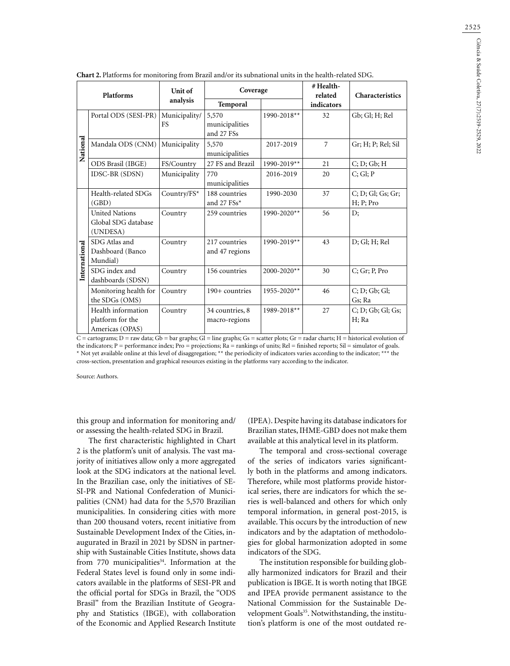| <b>Chart 2.</b> Platforms for monitoring from Brazil and/or its subnational units in the health-related SDG. |                                                           |                            |                                       |             |                      |                                |  |  |  |
|--------------------------------------------------------------------------------------------------------------|-----------------------------------------------------------|----------------------------|---------------------------------------|-------------|----------------------|--------------------------------|--|--|--|
| Platforms                                                                                                    |                                                           | Unit of                    | Coverage                              |             | # Health-<br>related | Characteristics                |  |  |  |
|                                                                                                              |                                                           | analysis                   | Temporal                              |             | indicators           |                                |  |  |  |
|                                                                                                              | Portal ODS (SESI-PR)                                      | Municipality/<br><b>FS</b> | 5,570<br>municipalities<br>and 27 FSs | 1990-2018** | 32                   | Gb; Gl; H; Rel                 |  |  |  |
| National                                                                                                     | Mandala ODS (CNM)                                         | Municipality               | 5,570<br>municipalities               | 2017-2019   | $\overline{7}$       | Gr; H; P; Rel; Sil             |  |  |  |
|                                                                                                              | ODS Brasil (IBGE)                                         | FS/Country                 | 27 FS and Brazil                      | 1990-2019** | 21                   | C; D; Gb; H                    |  |  |  |
|                                                                                                              | IDSC-BR (SDSN)                                            | Municipality               | 770<br>municipalities                 | 2016-2019   | 20                   | C; Gl; P                       |  |  |  |
| International                                                                                                | Health-related SDGs<br>(GBD)                              | Country/FS*                | 188 countries<br>and 27 FSs*          | 1990-2030   | 37                   | C; D; Gl; Gs; Gr;<br>H; P; Pro |  |  |  |
|                                                                                                              | <b>United Nations</b><br>Global SDG database<br>(UNDESA)  | Country                    | 259 countries                         | 1990-2020** | 56                   | D;                             |  |  |  |
|                                                                                                              | SDG Atlas and<br>Dashboard (Banco<br>Mundial)             | Country                    | 217 countries<br>and 47 regions       | 1990-2019** | 43                   | D; Gl; H; Rel                  |  |  |  |
|                                                                                                              | SDG index and<br>dashboards (SDSN)                        | Country                    | 156 countries                         | 2000-2020** | 30                   | $C$ ; Gr; P, Pro               |  |  |  |
|                                                                                                              | Monitoring health for<br>the SDGs (OMS)                   | Country                    | 190+ countries                        | 1955-2020** | 46                   | C; D; Gb; Gl;<br>Gs; Ra        |  |  |  |
|                                                                                                              | Health information<br>platform for the<br>Americas (OPAS) | Country                    | 34 countries, 8<br>macro-regions      | 1989-2018** | 27                   | C; D; Gb; Gl; Gs;<br>H; Ra     |  |  |  |

 $C =$  cartograms;  $D =$  raw data;  $Gb =$  bar graphs;  $GI =$  line graphs;  $Gs =$  scatter plots;  $Gr =$  radar charts;  $H =$  historical evolution of the indicators;  $P =$  performance index;  $Pro =$  projections;  $Ra =$  rankings of units;  $Rel =$  finished reports;  $Sil =$  simulator of goals. \* Not yet available online at this level of disaggregation; \*\* the periodicity of indicators varies according to the indicator; \*\*\* the cross-section, presentation and graphical resources existing in the platforms vary according to the indicator.

Source: Authors.

this group and information for monitoring and/ or assessing the health-related SDG in Brazil.

The first characteristic highlighted in Chart 2 is the platform's unit of analysis. The vast majority of initiatives allow only a more aggregated look at the SDG indicators at the national level. In the Brazilian case, only the initiatives of SE-SI-PR and National Confederation of Municipalities (CNM) had data for the 5,570 Brazilian municipalities. In considering cities with more than 200 thousand voters, recent initiative from Sustainable Development Index of the Cities, inaugurated in Brazil in 2021 by SDSN in partnership with Sustainable Cities Institute, shows data from 770 municipalities<sup>34</sup>. Information at the Federal States level is found only in some indicators available in the platforms of SESI-PR and the official portal for SDGs in Brazil, the "ODS Brasil" from the Brazilian Institute of Geography and Statistics (IBGE), with collaboration of the Economic and Applied Research Institute

(IPEA). Despite having its database indicators for Brazilian states, IHME-GBD does not make them available at this analytical level in its platform.

The temporal and cross-sectional coverage of the series of indicators varies significantly both in the platforms and among indicators. Therefore, while most platforms provide historical series, there are indicators for which the series is well-balanced and others for which only temporal information, in general post-2015, is available. This occurs by the introduction of new indicators and by the adaptation of methodologies for global harmonization adopted in some indicators of the SDG.

The institution responsible for building globally harmonized indicators for Brazil and their publication is IBGE. It is worth noting that IBGE and IPEA provide permanent assistance to the National Commission for the Sustainable Development Goals<sup>35</sup>. Notwithstanding, the institution's platform is one of the most outdated re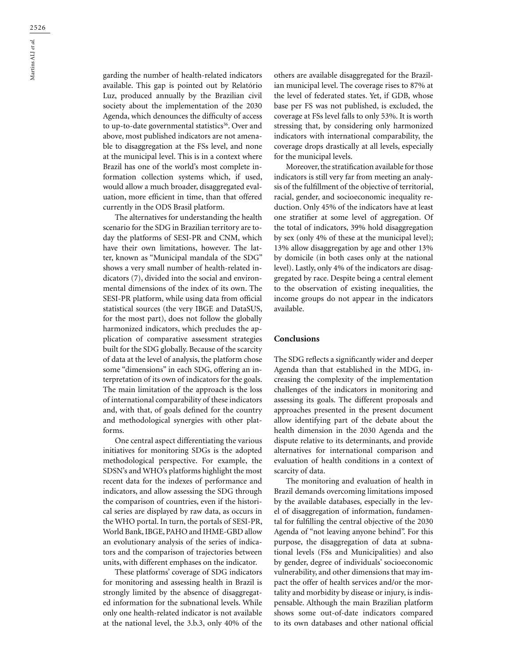garding the number of health-related indicators available. This gap is pointed out by Relatório Luz, produced annually by the Brazilian civil society about the implementation of the 2030 Agenda, which denounces the difficulty of access to up-to-date governmental statistics<sup>36</sup>. Over and above, most published indicators are not amenable to disaggregation at the FSs level, and none at the municipal level. This is in a context where Brazil has one of the world's most complete information collection systems which, if used, would allow a much broader, disaggregated evaluation, more efficient in time, than that offered currently in the ODS Brasil platform.

The alternatives for understanding the health scenario for the SDG in Brazilian territory are today the platforms of SESI-PR and CNM, which have their own limitations, however. The latter, known as "Municipal mandala of the SDG" shows a very small number of health-related indicators (7), divided into the social and environmental dimensions of the index of its own. The SESI-PR platform, while using data from official statistical sources (the very IBGE and DataSUS, for the most part), does not follow the globally harmonized indicators, which precludes the application of comparative assessment strategies built for the SDG globally. Because of the scarcity of data at the level of analysis, the platform chose some "dimensions" in each SDG, offering an interpretation of its own of indicators for the goals. The main limitation of the approach is the loss of international comparability of these indicators and, with that, of goals defined for the country and methodological synergies with other platforms.

One central aspect differentiating the various initiatives for monitoring SDGs is the adopted methodological perspective. For example, the SDSN's and WHO's platforms highlight the most recent data for the indexes of performance and indicators, and allow assessing the SDG through the comparison of countries, even if the historical series are displayed by raw data, as occurs in the WHO portal. In turn, the portals of SESI-PR, World Bank, IBGE, PAHO and IHME-GBD allow an evolutionary analysis of the series of indicators and the comparison of trajectories between units, with different emphases on the indicator.

These platforms' coverage of SDG indicators for monitoring and assessing health in Brazil is strongly limited by the absence of disaggregated information for the subnational levels. While only one health-related indicator is not available at the national level, the 3.b.3, only 40% of the others are available disaggregated for the Brazilian municipal level. The coverage rises to 87% at the level of federated states. Yet, if GDB, whose base per FS was not published, is excluded, the coverage at FSs level falls to only 53%. It is worth stressing that, by considering only harmonized indicators with international comparability, the coverage drops drastically at all levels, especially for the municipal levels.

Moreover, the stratification available for those indicators is still very far from meeting an analysis of the fulfillment of the objective of territorial, racial, gender, and socioeconomic inequality reduction. Only 45% of the indicators have at least one stratifier at some level of aggregation. Of the total of indicators, 39% hold disaggregation by sex (only 4% of these at the municipal level); 13% allow disaggregation by age and other 13% by domicile (in both cases only at the national level). Lastly, only 4% of the indicators are disaggregated by race. Despite being a central element to the observation of existing inequalities, the income groups do not appear in the indicators available.

#### **Conclusions**

The SDG reflects a significantly wider and deeper Agenda than that established in the MDG, increasing the complexity of the implementation challenges of the indicators in monitoring and assessing its goals. The different proposals and approaches presented in the present document allow identifying part of the debate about the health dimension in the 2030 Agenda and the dispute relative to its determinants, and provide alternatives for international comparison and evaluation of health conditions in a context of scarcity of data.

The monitoring and evaluation of health in Brazil demands overcoming limitations imposed by the available databases, especially in the level of disaggregation of information, fundamental for fulfilling the central objective of the 2030 Agenda of "not leaving anyone behind". For this purpose, the disaggregation of data at subnational levels (FSs and Municipalities) and also by gender, degree of individuals' socioeconomic vulnerability, and other dimensions that may impact the offer of health services and/or the mortality and morbidity by disease or injury, is indispensable. Although the main Brazilian platform shows some out-of-date indicators compared to its own databases and other national official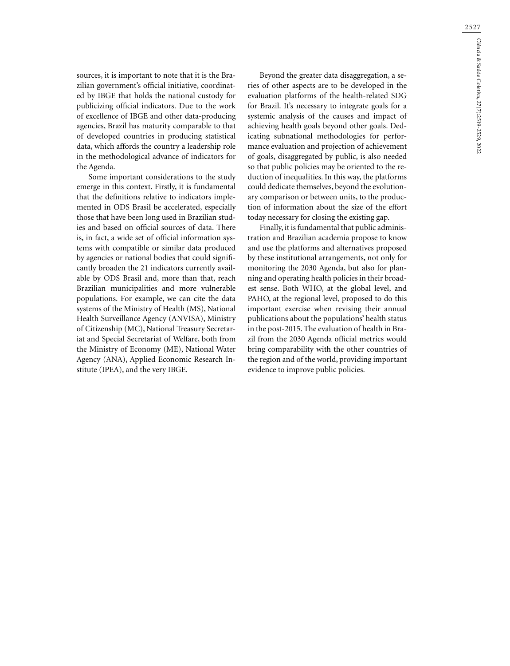sources, it is important to note that it is the Brazilian government's official initiative, coordinated by IBGE that holds the national custody for publicizing official indicators. Due to the work of excellence of IBGE and other data-producing agencies, Brazil has maturity comparable to that of developed countries in producing statistical data, which affords the country a leadership role in the methodological advance of indicators for the Agenda.

Some important considerations to the study emerge in this context. Firstly, it is fundamental that the definitions relative to indicators implemented in ODS Brasil be accelerated, especially those that have been long used in Brazilian studies and based on official sources of data. There is, in fact, a wide set of official information systems with compatible or similar data produced by agencies or national bodies that could significantly broaden the 21 indicators currently available by ODS Brasil and, more than that, reach Brazilian municipalities and more vulnerable populations. For example, we can cite the data systems of the Ministry of Health (MS), National Health Surveillance Agency (ANVISA), Ministry of Citizenship (MC), National Treasury Secretariat and Special Secretariat of Welfare, both from the Ministry of Economy (ME), National Water Agency (ANA), Applied Economic Research Institute (IPEA), and the very IBGE.

Beyond the greater data disaggregation, a series of other aspects are to be developed in the evaluation platforms of the health-related SDG for Brazil. It's necessary to integrate goals for a systemic analysis of the causes and impact of achieving health goals beyond other goals. Dedicating subnational methodologies for performance evaluation and projection of achievement of goals, disaggregated by public, is also needed so that public policies may be oriented to the reduction of inequalities. In this way, the platforms could dedicate themselves, beyond the evolutionary comparison or between units, to the production of information about the size of the effort today necessary for closing the existing gap.

Finally, it is fundamental that public administration and Brazilian academia propose to know and use the platforms and alternatives proposed by these institutional arrangements, not only for monitoring the 2030 Agenda, but also for planning and operating health policies in their broadest sense. Both WHO, at the global level, and PAHO, at the regional level, proposed to do this important exercise when revising their annual publications about the populations' health status in the post-2015. The evaluation of health in Brazil from the 2030 Agenda official metrics would bring comparability with the other countries of the region and of the world, providing important evidence to improve public policies.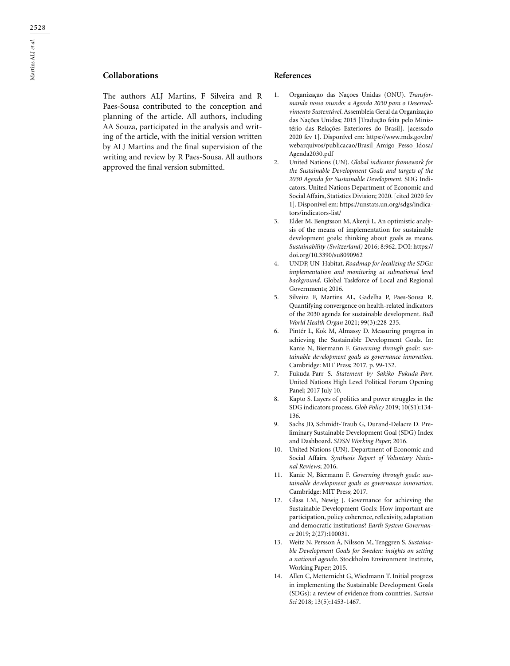## **Collaborations**

The authors ALJ Martins, F Silveira and R Paes-Sousa contributed to the conception and planning of the article. All authors, including AA Souza, participated in the analysis and writing of the article, with the initial version written by ALJ Martins and the final supervision of the writing and review by R Paes-Sousa. All authors approved the final version submitted.

#### **References**

- 1. Organização das Nações Unidas (ONU). *Transformando nosso mundo: a Agenda 2030 para o Desenvolvimento Sustentável*. Assembleia Geral da Organização das Nações Unidas; 2015 [Tradução feita pelo Ministério das Relações Exteriores do Brasil]. [acessado 2020 fev 1]. Disponível em: https://www.mds.gov.br/ webarquivos/publicacao/Brasil\_Amigo\_Pesso\_Idosa/ Agenda2030.pdf
- 2. United Nations (UN). *Global indicator framework for the Sustainable Development Goals and targets of the 2030 Agenda for Sustainable Development*. SDG Indicators. United Nations Department of Economic and Social Affairs, Statistics Division; 2020. [cited 2020 fev 1]. Disponível em: [https://unstats.un.org/sdgs/indica](https://unstats.un.org/sdgs/indicators/indicators-list/)[tors/indicators-list/](https://unstats.un.org/sdgs/indicators/indicators-list/)
- 3. Elder M, Bengtsson M, Akenji L. An optimistic analysis of the means of implementation for sustainable development goals: thinking about goals as means. *Sustainability (Switzerland)* 2016; 8:962. DOI: https:// doi.org/10.3390/su8090962
- 4. UNDP, UN-Habitat. *Roadmap for localizing the SDGs: implementation and monitoring at subnational level background*. Global Taskforce of Local and Regional Governments; 2016.
- 5. Silveira F, Martins AL, Gadelha P, Paes-Sousa R. Quantifying convergence on health-related indicators of the 2030 agenda for sustainable development. *Bull World Health Organ* 2021; 99(3):228-235.
- 6. Pintér L, Kok M, Almassy D. Measuring progress in achieving the Sustainable Development Goals. In: Kanie N, Biermann F. *Governing through goals: sustainable development goals as governance innovation.*  Cambridge: MIT Press; 2017*.* p. 99-132.
- 7. Fukuda-Parr S. *Statement by Sakiko Fukuda-Parr.*  United Nations High Level Political Forum Opening Panel; 2017 July 10.
- Kapto S. Layers of politics and power struggles in the SDG indicators process. *Glob Policy* 2019; 10(S1):134- 136.
- 9. Sachs JD, Schmidt-Traub G, Durand-Delacre D*.* Preliminary Sustainable Development Goal (SDG) Index and Dashboard. *SDSN Working Paper*; 2016.
- 10. United Nations (UN). Department of Economic and Social Affairs. *Synthesis Report of Voluntary National Reviews*; 2016.
- 11. Kanie N, Biermann F. *Governing through goals: sustainable development goals as governance innovation*. Cambridge: MIT Press; 2017.
- 12. Glass LM, Newig J. Governance for achieving the Sustainable Development Goals: How important are participation, policy coherence, reflexivity, adaptation and democratic institutions? *Earth System Governance* 2019; 2(27):100031.
- 13. Weitz N, Persson Å, Nilsson M, Tenggren S. *Sustainable Development Goals for Sweden: insights on setting a national agenda*. Stockholm Environment Institute, Working Paper; 2015.
- 14. Allen C, Metternicht G, Wiedmann T. Initial progress in implementing the Sustainable Development Goals (SDGs): a review of evidence from countries. *Sustain Sci* 2018; 13(5):1453-1467.